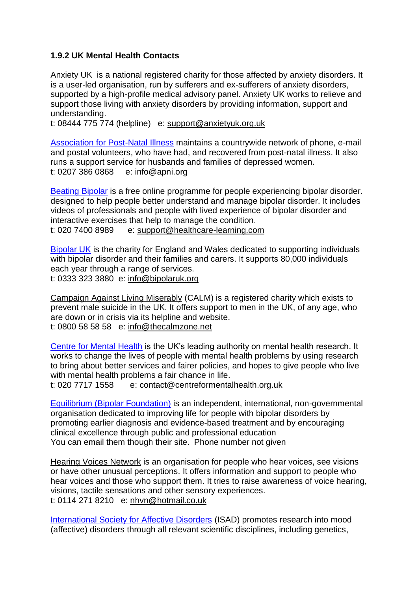## **1.9.2 UK Mental Health Contacts**

[Anxiety UK](http://www.anxietyuk.org.uk/) is a national registered charity for those affected by anxiety disorders. It is a user-led organisation, run by sufferers and ex-sufferers of anxiety disorders, supported by a high-profile medical advisory panel. Anxiety UK works to relieve and support those living with anxiety disorders by providing information, support and understanding.

t: 08444 775 774 (helpline) e: [support@anxietyuk.org.uk](mailto:support@anxietyuk.org.uk)

[Association for Post-Natal Illness](https://apni.org/) maintains a countrywide network of phone, e-mail and postal volunteers, who have had, and recovered from post-natal illness. It also runs a support service for husbands and families of depressed women. t: 0207 386 0868 e: [info@apni.org](mailto:info@apni.org)

[Beating Bipolar](http://beatingbipolar.org/) is a free online programme for people experiencing bipolar disorder. designed to help people better understand and manage bipolar disorder. It includes videos of professionals and people with lived experience of bipolar disorder and interactive exercises that help to manage the condition. t: 020 7400 8989 e: [support@healthcare-learning.com](mailto:support@healthcare-learning.com)

[Bipolar UK](https://www.bipolaruk.org/) is the charity for England and Wales dedicated to supporting individuals with bipolar disorder and their families and carers. It supports 80,000 individuals each year through a range of services. t: 0333 323 3880 e: [info@bipolaruk.org](mailto:info@bipolaruk.org)

[Campaign Against Living Miserably](https://www.thecalmzone.net/) (CALM) is a registered charity which exists to prevent male suicide in the UK. It offers support to men in the UK, of any age, who are down or in crisis via its helpline and website. t: 0800 58 58 58 e: [info@thecalmzone.net](mailto:info@thecalmzone.net)

[Centre for Mental Health](https://www.centreformentalhealth.org.uk/) is the UK's leading authority on mental health research. It works to change the lives of people with mental health problems by using research to bring about better services and fairer policies, and hopes to give people who live with mental health problems a fair chance in life.

t: 020 7717 1558 e: [contact@centreformentalhealth.org.uk](mailto:contact@centreformentalhealth.org.uk)

[Equilibrium \(Bipolar Foundation\)](http://www.bipolar-foundation.org/) is an independent, international, non-governmental organisation dedicated to improving life for people with bipolar disorders by promoting earlier diagnosis and evidence-based treatment and by encouraging clinical excellence through public and professional education You can email them though their site. Phone number not given

[Hearing Voices Network](http://www.hearing-voices.org/) is an organisation for people who hear voices, see visions or have other unusual perceptions. It offers information and support to people who hear voices and those who support them. It tries to raise awareness of voice hearing, visions, tactile sensations and other sensory experiences. t: 0114 271 8210 e: [nhvn@hotmail.co.uk](mailto:nhvn@hotmail.co.uk)

[International Society for Affective Disorders](https://www.isad.org.uk/) (ISAD) promotes research into [mood](https://en.wikipedia.org/wiki/Mood_disorder)  [\(affective\) disorders](https://en.wikipedia.org/wiki/Mood_disorder) through all relevant scientific disciplines, including genetics,